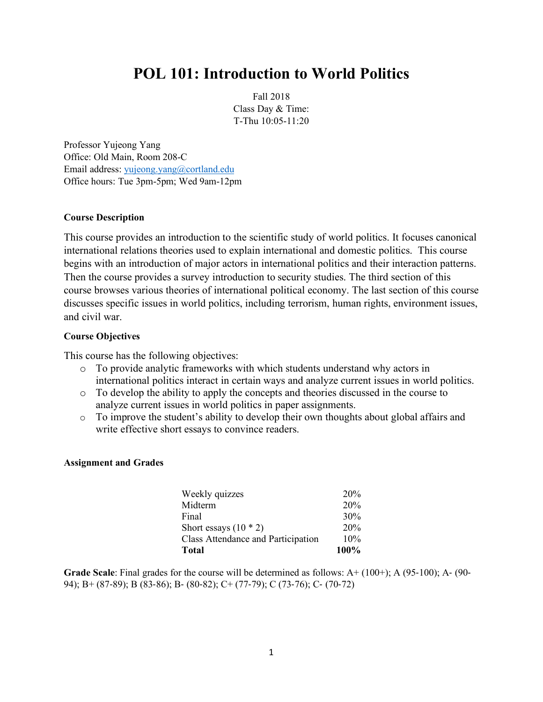# **POL 101: Introduction to World Politics**

Fall 2018 Class Day & Time: T-Thu 10:05-11:20

Professor Yujeong Yang Office: Old Main, Room 208-C Email address: yujeong.yang@cortland.edu Office hours: Tue 3pm-5pm; Wed 9am-12pm

## **Course Description**

This course provides an introduction to the scientific study of world politics. It focuses canonical international relations theories used to explain international and domestic politics. This course begins with an introduction of major actors in international politics and their interaction patterns. Then the course provides a survey introduction to security studies. The third section of this course browses various theories of international political economy. The last section of this course discusses specific issues in world politics, including terrorism, human rights, environment issues, and civil war.

## **Course Objectives**

This course has the following objectives:

- o To provide analytic frameworks with which students understand why actors in international politics interact in certain ways and analyze current issues in world politics.
- o To develop the ability to apply the concepts and theories discussed in the course to analyze current issues in world politics in paper assignments.
- o To improve the student's ability to develop their own thoughts about global affairs and write effective short essays to convince readers.

#### **Assignment and Grades**

| Total                              | 100% |
|------------------------------------|------|
| Class Attendance and Participation | 10%  |
| Short essays $(10 * 2)$            | 20%  |
| Final                              | 30%  |
| Midterm                            | 20%  |
| Weekly quizzes                     | 20%  |

**Grade Scale**: Final grades for the course will be determined as follows: A+ (100+); A (95-100); A- (90- 94); B+ (87-89); B (83-86); B- (80-82); C+ (77-79); C (73-76); C- (70-72)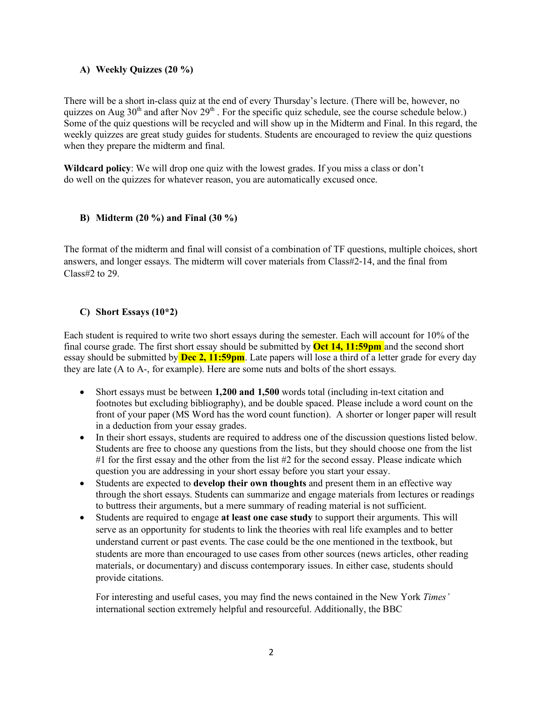## **A) Weekly Quizzes (20 %)**

There will be a short in-class quiz at the end of every Thursday's lecture. (There will be, however, no quizzes on Aug  $30<sup>th</sup>$  and after Nov  $29<sup>th</sup>$ . For the specific quiz schedule, see the course schedule below.) Some of the quiz questions will be recycled and will show up in the Midterm and Final. In this regard, the weekly quizzes are great study guides for students. Students are encouraged to review the quiz questions when they prepare the midterm and final.

**Wildcard policy**: We will drop one quiz with the lowest grades. If you miss a class or don't do well on the quizzes for whatever reason, you are automatically excused once.

## **B) Midterm (20 %) and Final (30 %)**

The format of the midterm and final will consist of a combination of TF questions, multiple choices, short answers, and longer essays. The midterm will cover materials from Class#2-14, and the final from Class#2 to 29.

## **C) Short Essays (10\*2)**

Each student is required to write two short essays during the semester. Each will account for 10% of the final course grade. The first short essay should be submitted by **Oct 14, 11:59pm** and the second short essay should be submitted by **Dec 2, 11:59pm**. Late papers will lose a third of a letter grade for every day they are late (A to A-, for example). Here are some nuts and bolts of the short essays.

- Short essays must be between **1,200 and 1,500** words total (including in-text citation and footnotes but excluding bibliography), and be double spaced. Please include a word count on the front of your paper (MS Word has the word count function). A shorter or longer paper will result in a deduction from your essay grades.
- In their short essays, students are required to address one of the discussion questions listed below. Students are free to choose any questions from the lists, but they should choose one from the list #1 for the first essay and the other from the list #2 for the second essay. Please indicate which question you are addressing in your short essay before you start your essay.
- Students are expected to **develop their own thoughts** and present them in an effective way through the short essays. Students can summarize and engage materials from lectures or readings to buttress their arguments, but a mere summary of reading material is not sufficient.
- Students are required to engage **at least one case study** to support their arguments. This will serve as an opportunity for students to link the theories with real life examples and to better understand current or past events. The case could be the one mentioned in the textbook, but students are more than encouraged to use cases from other sources (news articles, other reading materials, or documentary) and discuss contemporary issues. In either case, students should provide citations.

For interesting and useful cases, you may find the news contained in the New York *Times'*  international section extremely helpful and resourceful. Additionally, the BBC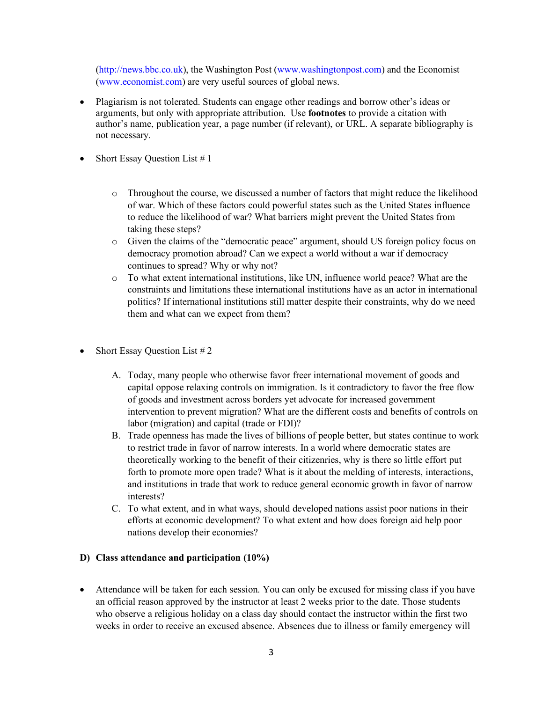(http://news.bbc.co.uk), the Washington Post (www.washingtonpost.com) and the Economist (www.economist.com) are very useful sources of global news.

- Plagiarism is not tolerated. Students can engage other readings and borrow other's ideas or arguments, but only with appropriate attribution. Use **footnotes** to provide a citation with author's name, publication year, a page number (if relevant), or URL. A separate bibliography is not necessary.
- Short Essay Question List  $# 1$ 
	- o Throughout the course, we discussed a number of factors that might reduce the likelihood of war. Which of these factors could powerful states such as the United States influence to reduce the likelihood of war? What barriers might prevent the United States from taking these steps?
	- o Given the claims of the "democratic peace" argument, should US foreign policy focus on democracy promotion abroad? Can we expect a world without a war if democracy continues to spread? Why or why not?
	- o To what extent international institutions, like UN, influence world peace? What are the constraints and limitations these international institutions have as an actor in international politics? If international institutions still matter despite their constraints, why do we need them and what can we expect from them?
- Short Essay Question List  $#2$ 
	- A. Today, many people who otherwise favor freer international movement of goods and capital oppose relaxing controls on immigration. Is it contradictory to favor the free flow of goods and investment across borders yet advocate for increased government intervention to prevent migration? What are the different costs and benefits of controls on labor (migration) and capital (trade or FDI)?
	- B. Trade openness has made the lives of billions of people better, but states continue to work to restrict trade in favor of narrow interests. In a world where democratic states are theoretically working to the benefit of their citizenries, why is there so little effort put forth to promote more open trade? What is it about the melding of interests, interactions, and institutions in trade that work to reduce general economic growth in favor of narrow interests?
	- C. To what extent, and in what ways, should developed nations assist poor nations in their efforts at economic development? To what extent and how does foreign aid help poor nations develop their economies?

#### **D) Class attendance and participation (10%)**

• Attendance will be taken for each session. You can only be excused for missing class if you have an official reason approved by the instructor at least 2 weeks prior to the date. Those students who observe a religious holiday on a class day should contact the instructor within the first two weeks in order to receive an excused absence. Absences due to illness or family emergency will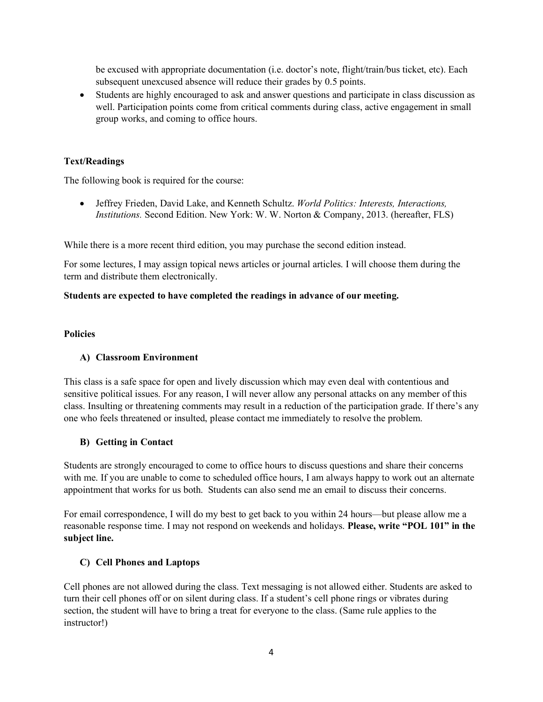be excused with appropriate documentation (i.e. doctor's note, flight/train/bus ticket, etc). Each subsequent unexcused absence will reduce their grades by 0.5 points.

• Students are highly encouraged to ask and answer questions and participate in class discussion as well. Participation points come from critical comments during class, active engagement in small group works, and coming to office hours.

## **Text/Readings**

The following book is required for the course:

• Jeffrey Frieden, David Lake, and Kenneth Schultz. *World Politics: Interests, Interactions, Institutions.* Second Edition. New York: W. W. Norton & Company, 2013. (hereafter, FLS)

While there is a more recent third edition, you may purchase the second edition instead.

For some lectures, I may assign topical news articles or journal articles. I will choose them during the term and distribute them electronically.

## **Students are expected to have completed the readings in advance of our meeting.**

#### **Policies**

## **A) Classroom Environment**

This class is a safe space for open and lively discussion which may even deal with contentious and sensitive political issues. For any reason, I will never allow any personal attacks on any member of this class. Insulting or threatening comments may result in a reduction of the participation grade. If there's any one who feels threatened or insulted, please contact me immediately to resolve the problem.

#### **B) Getting in Contact**

Students are strongly encouraged to come to office hours to discuss questions and share their concerns with me. If you are unable to come to scheduled office hours, I am always happy to work out an alternate appointment that works for us both. Students can also send me an email to discuss their concerns.

For email correspondence, I will do my best to get back to you within 24 hours—but please allow me a reasonable response time. I may not respond on weekends and holidays. **Please, write "POL 101" in the subject line.**

## **C) Cell Phones and Laptops**

Cell phones are not allowed during the class. Text messaging is not allowed either. Students are asked to turn their cell phones off or on silent during class. If a student's cell phone rings or vibrates during section, the student will have to bring a treat for everyone to the class. (Same rule applies to the instructor!)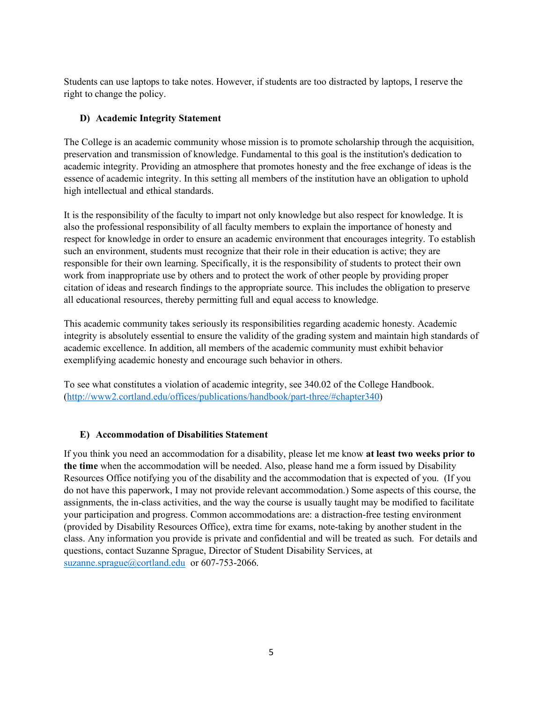Students can use laptops to take notes. However, if students are too distracted by laptops, I reserve the right to change the policy.

## **D) Academic Integrity Statement**

The College is an academic community whose mission is to promote scholarship through the acquisition, preservation and transmission of knowledge. Fundamental to this goal is the institution's dedication to academic integrity. Providing an atmosphere that promotes honesty and the free exchange of ideas is the essence of academic integrity. In this setting all members of the institution have an obligation to uphold high intellectual and ethical standards.

It is the responsibility of the faculty to impart not only knowledge but also respect for knowledge. It is also the professional responsibility of all faculty members to explain the importance of honesty and respect for knowledge in order to ensure an academic environment that encourages integrity. To establish such an environment, students must recognize that their role in their education is active; they are responsible for their own learning. Specifically, it is the responsibility of students to protect their own work from inappropriate use by others and to protect the work of other people by providing proper citation of ideas and research findings to the appropriate source. This includes the obligation to preserve all educational resources, thereby permitting full and equal access to knowledge.

This academic community takes seriously its responsibilities regarding academic honesty. Academic integrity is absolutely essential to ensure the validity of the grading system and maintain high standards of academic excellence. In addition, all members of the academic community must exhibit behavior exemplifying academic honesty and encourage such behavior in others.

To see what constitutes a violation of academic integrity, see 340.02 of the College Handbook. (http://www2.cortland.edu/offices/publications/handbook/part-three/#chapter340)

# **E) Accommodation of Disabilities Statement**

If you think you need an accommodation for a disability, please let me know **at least two weeks prior to the time** when the accommodation will be needed. Also, please hand me a form issued by Disability Resources Office notifying you of the disability and the accommodation that is expected of you. (If you do not have this paperwork, I may not provide relevant accommodation.) Some aspects of this course, the assignments, the in-class activities, and the way the course is usually taught may be modified to facilitate your participation and progress. Common accommodations are: a distraction-free testing environment (provided by Disability Resources Office), extra time for exams, note-taking by another student in the class. Any information you provide is private and confidential and will be treated as such. For details and questions, contact Suzanne Sprague, Director of Student Disability Services, at suzanne.sprague@cortland.edu or 607-753-2066.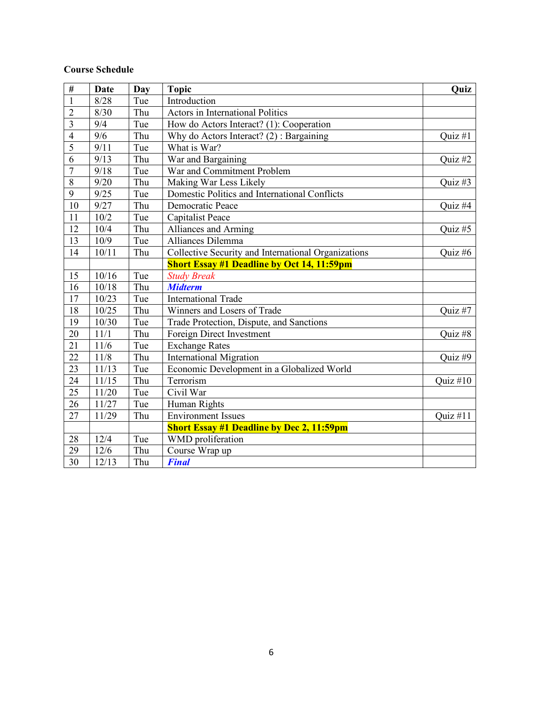## **Course Schedule**

| $\overline{\#}$ | <b>Date</b> | <b>Day</b> | <b>Topic</b>                                        | Quiz       |
|-----------------|-------------|------------|-----------------------------------------------------|------------|
| $\mathbf{1}$    | 8/28        | Tue        | Introduction                                        |            |
| $\overline{2}$  | 8/30        | Thu        | <b>Actors in International Politics</b>             |            |
| $\overline{3}$  | 9/4         | Tue        | How do Actors Interact? (1): Cooperation            |            |
| $\overline{4}$  | 9/6         | Thu        | Why do Actors Interact? $(2)$ : Bargaining          | Quiz #1    |
| $\overline{5}$  | 9/11        | Tue        | What is War?                                        |            |
| $\overline{6}$  | 9/13        | Thu        | War and Bargaining                                  | Quiz #2    |
| $\overline{7}$  | 9/18        | Tue        | War and Commitment Problem                          |            |
| 8               | 9/20        | Thu        | Making War Less Likely                              | Quiz #3    |
| 9               | 9/25        | Tue        | Domestic Politics and International Conflicts       |            |
| 10              | 9/27        | Thu        | Democratic Peace                                    | Quiz #4    |
| 11              | 10/2        | Tue        | <b>Capitalist Peace</b>                             |            |
| 12              | 10/4        | Thu        | Alliances and Arming                                | Quiz#5     |
| 13              | 10/9        | Tue        | Alliances Dilemma                                   |            |
| 14              | 10/11       | Thu        | Collective Security and International Organizations | Quiz #6    |
|                 |             |            | <b>Short Essay #1 Deadline by Oct 14, 11:59pm</b>   |            |
| 15              | 10/16       | Tue        | <b>Study Break</b>                                  |            |
| 16              | 10/18       | Thu        | <b>Midterm</b>                                      |            |
| 17              | 10/23       | Tue        | <b>International Trade</b>                          |            |
| 18              | 10/25       | Thu        | Winners and Losers of Trade                         | Quiz #7    |
| 19              | 10/30       | Tue        | Trade Protection, Dispute, and Sanctions            |            |
| 20              | 11/1        | Thu        | Foreign Direct Investment                           | Quiz #8    |
| 21              | 11/6        | Tue        | <b>Exchange Rates</b>                               |            |
| 22              | 11/8        | Thu        | <b>International Migration</b>                      | Quiz #9    |
| 23              | 11/13       | Tue        | Economic Development in a Globalized World          |            |
| 24              | 11/15       | Thu        | Terrorism                                           | Quiz $#10$ |
| 25              | 11/20       | Tue        | Civil War                                           |            |
| 26              | 11/27       | Tue        | Human Rights                                        |            |
| 27              | 11/29       | Thu        | <b>Environment Issues</b>                           | Quiz $#11$ |
|                 |             |            | <b>Short Essay #1 Deadline by Dec 2, 11:59pm</b>    |            |
| 28              | 12/4        | Tue        | <b>WMD</b> proliferation                            |            |
| 29              | 12/6        | Thu        | Course Wrap up                                      |            |
| 30              | 12/13       | Thu        | <b>Final</b>                                        |            |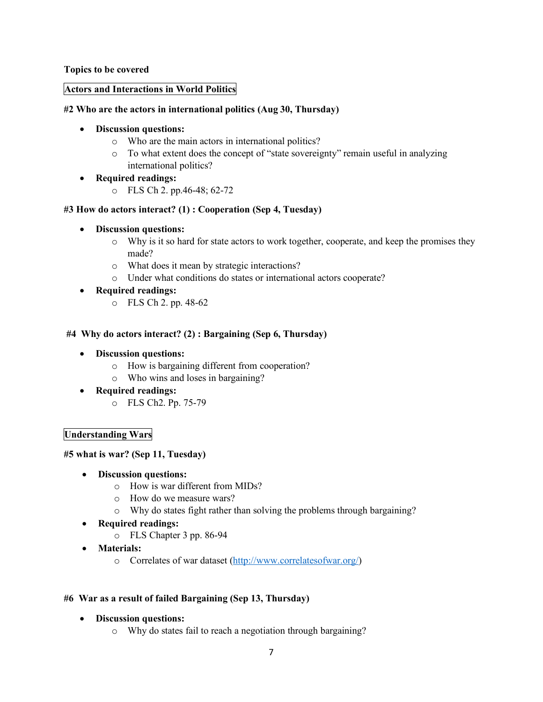**Topics to be covered** 

#### **Actors and Interactions in World Politics**

## **#2 Who are the actors in international politics (Aug 30, Thursday)**

## • **Discussion questions:**

- o Who are the main actors in international politics?
- o To what extent does the concept of "state sovereignty" remain useful in analyzing international politics?
- **Required readings:**
	- o FLS Ch 2. pp.46-48; 62-72

## **#3 How do actors interact? (1) : Cooperation (Sep 4, Tuesday)**

- **Discussion questions:**
	- o Why is it so hard for state actors to work together, cooperate, and keep the promises they made?
	- o What does it mean by strategic interactions?
	- o Under what conditions do states or international actors cooperate?
- **Required readings:**
	- o FLS Ch 2. pp. 48-62

## **#4 Why do actors interact? (2) : Bargaining (Sep 6, Thursday)**

- **Discussion questions:**
	- o How is bargaining different from cooperation?
	- o Who wins and loses in bargaining?
- **Required readings:**
	- o FLS Ch2. Pp. 75-79

## **Understanding Wars**

#### **#5 what is war? (Sep 11, Tuesday)**

- **Discussion questions:**
	- o How is war different from MIDs?
	- o How do we measure wars?
	- o Why do states fight rather than solving the problems through bargaining?
- **Required readings:**
	- o FLS Chapter 3 pp. 86-94
- **Materials:**
	- o Correlates of war dataset (http://www.correlatesofwar.org/)

#### **#6 War as a result of failed Bargaining (Sep 13, Thursday)**

- **Discussion questions:**
	- o Why do states fail to reach a negotiation through bargaining?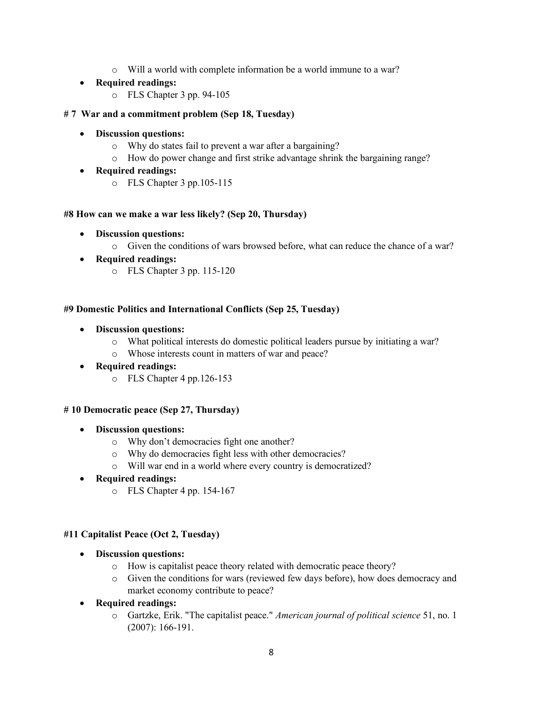o Will a world with complete information be a world immune to a war?

## • **Required readings:**

o FLS Chapter 3 pp. 94-105

## **# 7 War and a commitment problem (Sep 18, Tuesday)**

- **Discussion questions:**
	- o Why do states fail to prevent a war after a bargaining?
	- o How do power change and first strike advantage shrink the bargaining range?
- **Required readings:**
	- o FLS Chapter 3 pp.105-115

## **#8 How can we make a war less likely? (Sep 20, Thursday)**

- **Discussion questions:**
	- o Given the conditions of wars browsed before, what can reduce the chance of a war?
- **Required readings:**
	- o FLS Chapter 3 pp. 115-120

## **#9 Domestic Politics and International Conflicts (Sep 25, Tuesday)**

- **Discussion questions:**
	- o What political interests do domestic political leaders pursue by initiating a war?
	- o Whose interests count in matters of war and peace?
- **Required readings:**
	- o FLS Chapter 4 pp.126-153

## **# 10 Democratic peace (Sep 27, Thursday)**

- **Discussion questions:**
	- o Why don't democracies fight one another?
	- o Why do democracies fight less with other democracies?
	- o Will war end in a world where every country is democratized?

## • **Required readings:**

o FLS Chapter 4 pp. 154-167

## **#11 Capitalist Peace (Oct 2, Tuesday)**

- **Discussion questions:**
	- o How is capitalist peace theory related with democratic peace theory?
	- o Given the conditions for wars (reviewed few days before), how does democracy and market economy contribute to peace?
- **Required readings:**
	- o Gartzke, Erik. "The capitalist peace." *American journal of political science* 51, no. 1 (2007): 166-191.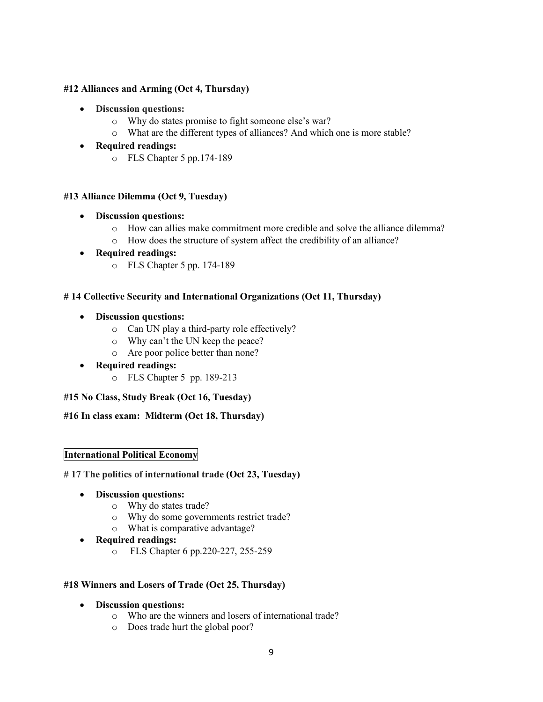## **#12 Alliances and Arming (Oct 4, Thursday)**

- **Discussion questions:** 
	- o Why do states promise to fight someone else's war?
	- o What are the different types of alliances? And which one is more stable?
- **Required readings:**
	- o FLS Chapter 5 pp.174-189

#### **#13 Alliance Dilemma (Oct 9, Tuesday)**

- **Discussion questions:**
	- o How can allies make commitment more credible and solve the alliance dilemma?
	- o How does the structure of system affect the credibility of an alliance?
- **Required readings:**
	- o FLS Chapter 5 pp. 174-189

#### **# 14 Collective Security and International Organizations (Oct 11, Thursday)**

- **Discussion questions:**
	- o Can UN play a third-party role effectively?
	- o Why can't the UN keep the peace?
	- o Are poor police better than none?
- **Required readings:**
	- o FLS Chapter 5 pp. 189-213

#### **#15 No Class, Study Break (Oct 16, Tuesday)**

**#16 In class exam: Midterm (Oct 18, Thursday)**

#### **International Political Economy**

**# 17 The politics of international trade (Oct 23, Tuesday)**

- **Discussion questions:**
	- o Why do states trade?
	- o Why do some governments restrict trade?
	- o What is comparative advantage?
- **Required readings:**
	- o FLS Chapter 6 pp.220-227, 255-259

#### **#18 Winners and Losers of Trade (Oct 25, Thursday)**

- **Discussion questions:**
	- o Who are the winners and losers of international trade?
	- o Does trade hurt the global poor?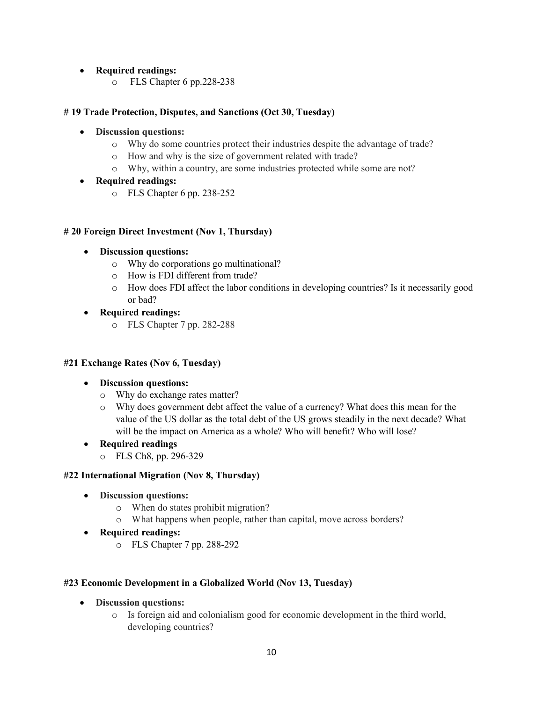## • **Required readings:**

o FLS Chapter 6 pp.228-238

## **# 19 Trade Protection, Disputes, and Sanctions (Oct 30, Tuesday)**

- **Discussion questions:**
	- o Why do some countries protect their industries despite the advantage of trade?
	- o How and why is the size of government related with trade?
	- o Why, within a country, are some industries protected while some are not?
- **Required readings:**
	- o FLS Chapter 6 pp. 238-252

#### **# 20 Foreign Direct Investment (Nov 1, Thursday)**

- **Discussion questions:**
	- o Why do corporations go multinational?
	- o How is FDI different from trade?
	- o How does FDI affect the labor conditions in developing countries? Is it necessarily good or bad?
- **Required readings:**
	- o FLS Chapter 7 pp. 282-288

#### **#21 Exchange Rates (Nov 6, Tuesday)**

- **Discussion questions:**
	- o Why do exchange rates matter?
	- o Why does government debt affect the value of a currency? What does this mean for the value of the US dollar as the total debt of the US grows steadily in the next decade? What will be the impact on America as a whole? Who will benefit? Who will lose?
- **Required readings**
	- o FLS Ch8, pp. 296-329

#### **#22 International Migration (Nov 8, Thursday)**

- **Discussion questions:**
	- o When do states prohibit migration?
	- o What happens when people, rather than capital, move across borders?
- **Required readings:**
	- o FLS Chapter 7 pp. 288-292

#### **#23 Economic Development in a Globalized World (Nov 13, Tuesday)**

- **Discussion questions:**
	- o Is foreign aid and colonialism good for economic development in the third world, developing countries?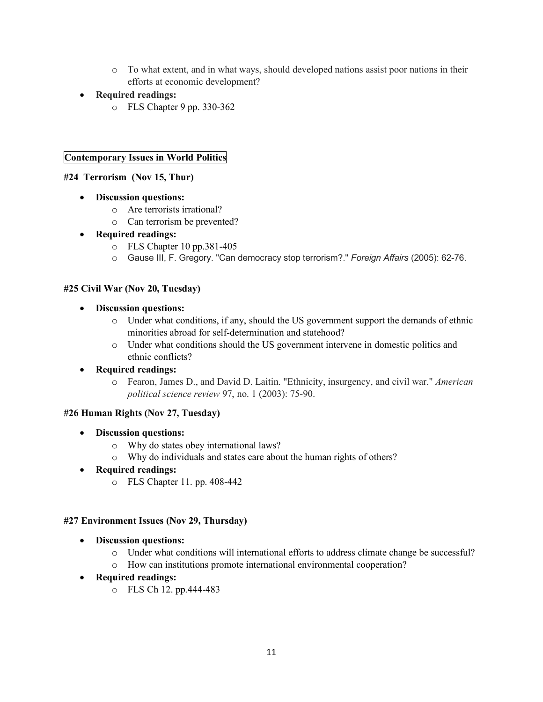- o To what extent, and in what ways, should developed nations assist poor nations in their efforts at economic development?
- **Required readings:** 
	- o FLS Chapter 9 pp. 330-362

## **Contemporary Issues in World Politics**

## **#24 Terrorism (Nov 15, Thur)**

- **Discussion questions:**
	- o Are terrorists irrational?
	- o Can terrorism be prevented?
- **Required readings:**
	- o FLS Chapter 10 pp.381-405
	- o Gause III, F. Gregory. "Can democracy stop terrorism?." *Foreign Affairs* (2005): 62-76.

#### **#25 Civil War (Nov 20, Tuesday)**

- **Discussion questions:**
	- o Under what conditions, if any, should the US government support the demands of ethnic minorities abroad for self-determination and statehood?
	- o Under what conditions should the US government intervene in domestic politics and ethnic conflicts?

#### • **Required readings:**

o Fearon, James D., and David D. Laitin. "Ethnicity, insurgency, and civil war." *American political science review* 97, no. 1 (2003): 75-90.

#### **#26 Human Rights (Nov 27, Tuesday)**

- **Discussion questions:**
	- o Why do states obey international laws?
	- o Why do individuals and states care about the human rights of others?
- **Required readings:**
	- o FLS Chapter 11. pp. 408-442

#### **#27 Environment Issues (Nov 29, Thursday)**

- **Discussion questions:**
	- o Under what conditions will international efforts to address climate change be successful?
	- o How can institutions promote international environmental cooperation?
- **Required readings:**
	- o FLS Ch 12. pp.444-483